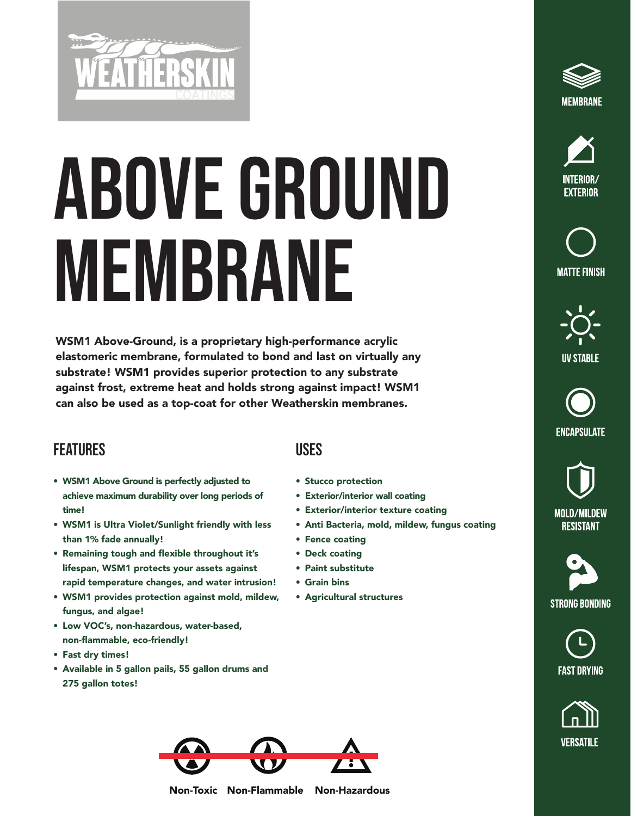

## Above GROUND MEMBRANE

WSM1 Above-Ground, is a proprietary high-performance acrylic elastomeric membrane, formulated to bond and last on virtually any substrate! WSM1 provides superior protection to any substrate against frost, extreme heat and holds strong against impact! WSM1 can also be used as a top-coat for other Weatherskin membranes.

## **FEATURES**

- WSM1 Above Ground is perfectly adjusted to achieve maximum durability over long periods of time!
- WSM1 is Ultra Violet/Sunlight friendly with less than 1% fade annually!
- Remaining tough and flexible throughout it's lifespan, WSM1 protects your assets against rapid temperature changes, and water intrusion!
- WSM1 provides protection against mold, mildew, fungus, and algae!
- Low VOC's, non-hazardous, water-based, non-flammable, eco-friendly!
- Fast dry times!
- Available in 5 gallon pails, 55 gallon drums and 275 gallon totes!

## Uses

- Stucco protection
- Exterior/interior wall coating
- Exterior/interior texture coating
- Anti Bacteria, mold, mildew, fungus coating
- Fence coating
- Deck coating
- Paint substitute
- Grain bins
- Agricultural structures









**ENCAPSULATE** 

**MOLD/MILDEW RESISTANT** 

**STRONG BONDING** 







Non-Toxic Non-Flammable Non-Hazardous